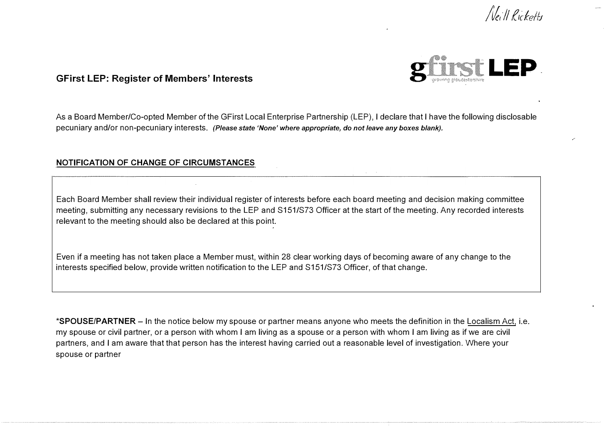



As a Board Member/Co-opted Member of the GFirst Local Enterprise Partnership (LEP), I declare that I have the following disclosable pecuniary and/or non-pecuniary interests. *(Please state 'None' where appropriate, do not leave any boxes blank).* 

### **NOTIFICATION OF CHANGE OF CIRCUMSTANCES**

Each Board Member shall review their individual register of interests before each board meeting and decision making committee meeting, submitting any necessary revisions to the LEP and S151/S73 Officer at the start of the meeting. Any recorded interests relevant to the meeting should also be declared at this point.

Even if a meeting has not taken place a Member must, within 28 clear working days of becoming aware of any change to the interests specified below, provide written notification to the LEP and S151/S73 Officer, of that change.

**\*SPOUSE/PARTNER** - In the notice below my spouse or partner means anyone who meets the definition in the Localism Act, i.e. my spouse or civil partner, or a person with whom I am living as a spouse or a person with whom I am living as if we are civil partners, and I am aware that that person has the interest having carried out a reasonable level of investigation. Where your spouse or partner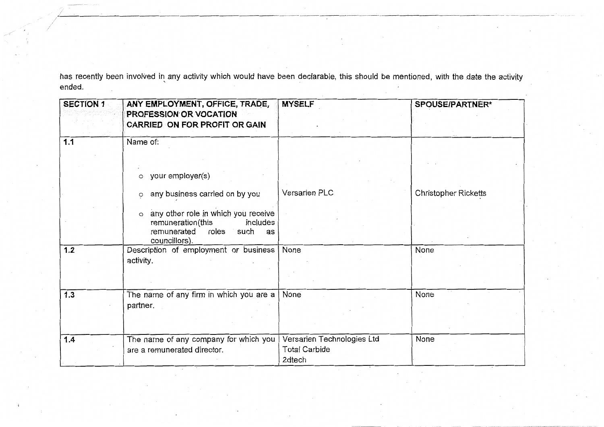has recently been involved in any activity which would have been declarable, this should be mentioned, with the date the activity ended.

| <b>SECTION 1</b> | ANY EMPLOYMENT, OFFICE, TRADE,<br><b>PROFESSION OR VOCATION</b><br><b>CARRIED ON FOR PROFIT OR GAIN</b>                                                     | <b>MYSELF</b>                                                | SPOUSE/PARTNER*             |
|------------------|-------------------------------------------------------------------------------------------------------------------------------------------------------------|--------------------------------------------------------------|-----------------------------|
| 1.1              | Name of:                                                                                                                                                    |                                                              |                             |
|                  | your employer(s)<br>$\circ$<br>any business carried on by you<br>$\circ$<br>any other role in which you receive<br>$\circ$<br>remuneration(this<br>includes | Versarien PLC                                                | <b>Christopher Ricketts</b> |
| 1.2              | remunerated<br>roles<br>such<br>as<br>councillors).<br>Description of employment or business<br>activity.                                                   | None                                                         | None                        |
| 1.3              | The name of any firm in which you are a<br>partner.                                                                                                         | None                                                         | None                        |
| 1.4              | The name of any company for which you<br>are a remunerated director.                                                                                        | Versarien Technologies Ltd<br><b>Total Carbide</b><br>2dtech | None                        |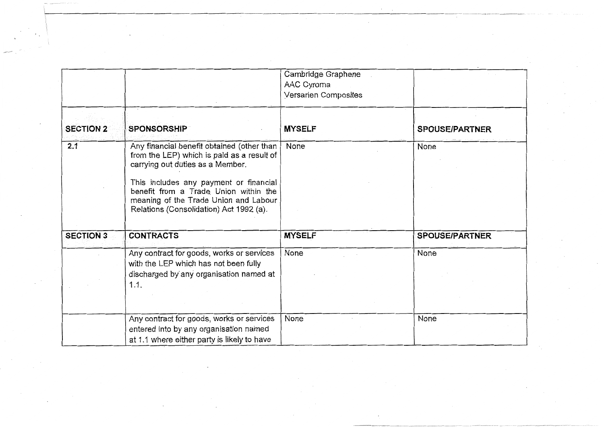|                  |                                                                                                                                                                                                                                                                                                     | Cambridge Graphene<br>AAC Cyroma<br>Versarien Composites |                       |
|------------------|-----------------------------------------------------------------------------------------------------------------------------------------------------------------------------------------------------------------------------------------------------------------------------------------------------|----------------------------------------------------------|-----------------------|
| <b>SECTION 2</b> | <b>SPONSORSHIP</b>                                                                                                                                                                                                                                                                                  | <b>MYSELF</b>                                            | <b>SPOUSE/PARTNER</b> |
| 2.1              | Any financial benefit obtained (other than<br>from the LEP) which is paid as a result of<br>carrying out duties as a Member.<br>This includes any payment or financial<br>benefit from a Trade Union within the<br>meaning of the Trade Union and Labour<br>Relations (Consolidation) Act 1992 (a). | None                                                     | None                  |
| <b>SECTION 3</b> | <b>CONTRACTS</b>                                                                                                                                                                                                                                                                                    | <b>MYSELF</b>                                            | <b>SPOUSE/PARTNER</b> |
|                  | Any contract for goods, works or services<br>with the LEP which has not been fully<br>discharged by any organisation named at<br>1.1.                                                                                                                                                               | None                                                     | None                  |
|                  | Any contract for goods, works or services<br>entered into by any organisation named<br>at 1.1 where either party is likely to have                                                                                                                                                                  | None                                                     | None                  |

 $\sim$  $\sim 100$ 

 $\sim$ 

 $\mathcal{L}^{\mathbb{R}}$ 

 $\mathcal{L}^{\pm}$ 

 $\bar{z}$ 

 $\bigodot$ 

 $\sim 10^{-1}$ 

 $\sim$ 

 $\mathcal{L}^{\pm}$ 

 $\Box$ 

 $\mathcal{A}^{\mathcal{A}}$  and  $\mathcal{A}^{\mathcal{A}}$ 

 $\sim$ 

 $\bar{z}$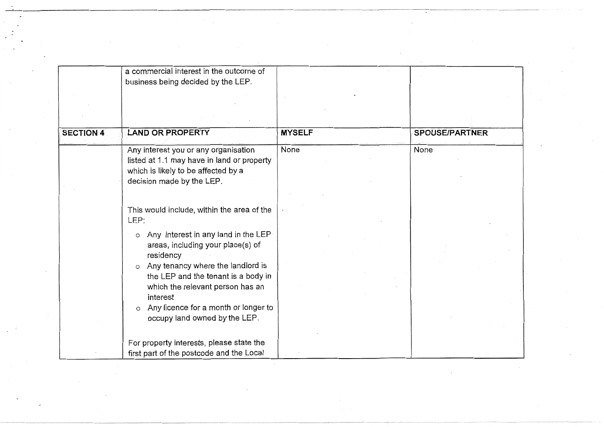| <b>SECTION 4</b> | a commercial interest in the outcome of<br>business being decided by the LEP.<br><b>LAND OR PROPERTY</b>                                                                                                                                                                                                                                                                          | <b>MYSELF</b> | <b>SPOUSE/PARTNER</b> |
|------------------|-----------------------------------------------------------------------------------------------------------------------------------------------------------------------------------------------------------------------------------------------------------------------------------------------------------------------------------------------------------------------------------|---------------|-----------------------|
|                  | Any interest you or any organisation<br>listed at 1.1 may have in land or property<br>which is likely to be affected by a<br>decision made by the LEP.                                                                                                                                                                                                                            | None          | None                  |
|                  | This would include, within the area of the<br>LEP:<br>Any interest in any land in the LEP<br>$\circ$<br>areas, including your place(s) of<br>residency<br>Any tenancy where the landlord is<br>$\circ$<br>the LEP and the tenant is a body in<br>which the relevant person has an<br>interest<br>Any licence for a month or longer to<br>$\circ$<br>occupy land owned by the LEP. |               |                       |
|                  | For property interests, please state the<br>first part of the postcode and the Local                                                                                                                                                                                                                                                                                              |               |                       |

 $\overline{\phantom{a}}$ 

 $\sim$ 

 $\epsilon$ 

 $\mathbb{R}^n$ 

 $\sim 10^{-1}$ 

 $\mathcal{L}^{\pm}$ 

 $\sim 100$ 

 $\sim$ 

÷.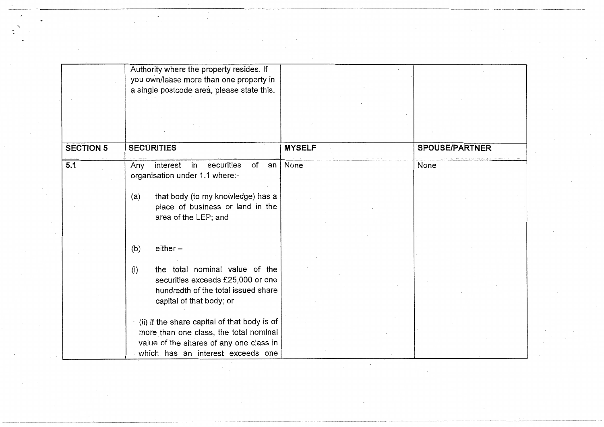|                  | Authority where the property resides. If<br>you own/lease more than one property in<br>a single postcode area, please state this.                                                          |               |                       |
|------------------|--------------------------------------------------------------------------------------------------------------------------------------------------------------------------------------------|---------------|-----------------------|
|                  |                                                                                                                                                                                            |               |                       |
| <b>SECTION 5</b> | <b>SECURITIES</b>                                                                                                                                                                          | <b>MYSELF</b> | <b>SPOUSE/PARTNER</b> |
| 5.1              | Any interest in<br>securities<br>of<br>$an \mid$<br>organisation under 1.1 where:-<br>that body (to my knowledge) has a<br>(a)<br>place of business or land in the<br>area of the LEP; and | None          | None                  |
|                  | $either -$<br>(b)<br>the total nominal value of the<br>(i)<br>securities exceeds £25,000 or one<br>hundredth of the total issued share<br>capital of that body; or                         |               |                       |
|                  | (ii) if the share capital of that body is of<br>more than one class, the total nominal<br>value of the shares of any one class in<br>which has an interest exceeds one                     |               |                       |

 $\label{eq:2} \frac{1}{2}\sum_{i=1}^N\frac{1}{2}\sum_{j=1}^N\frac{1}{2}\sum_{j=1}^N\frac{1}{2}\sum_{j=1}^N\frac{1}{2}\sum_{j=1}^N\frac{1}{2}\sum_{j=1}^N\frac{1}{2}\sum_{j=1}^N\frac{1}{2}\sum_{j=1}^N\frac{1}{2}\sum_{j=1}^N\frac{1}{2}\sum_{j=1}^N\frac{1}{2}\sum_{j=1}^N\frac{1}{2}\sum_{j=1}^N\frac{1}{2}\sum_{j=1}^N\frac{1}{2}\sum_{j=1}^N\frac{$ 

 $\mathcal{L}_{\mathcal{L}}$ 

 $\sim 10^{-10}$ 

 $\mathcal{L}_{\text{max}}$  and  $\mathcal{L}_{\text{max}}$ 

 $\sim$ 

 $\ddot{\phantom{0}}$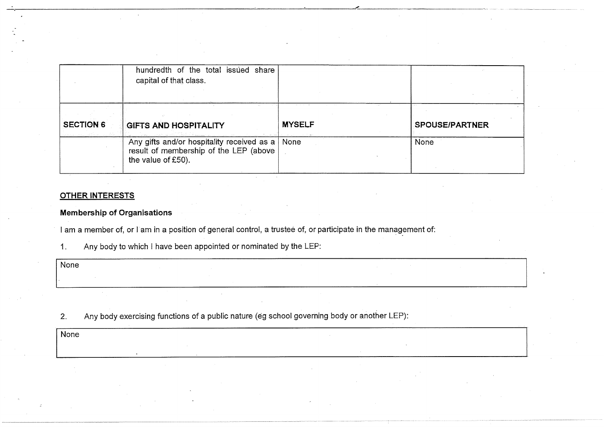|                  | hundredth of the total issued share<br>capital of that class.                                                     |               |                       |
|------------------|-------------------------------------------------------------------------------------------------------------------|---------------|-----------------------|
| <b>SECTION 6</b> | <b>GIFTS AND HOSPITALITY</b>                                                                                      | <b>MYSELF</b> | <b>SPOUSE/PARTNER</b> |
|                  | Any gifts and/or hospitality received as a   None<br>result of membership of the LEP (above<br>the value of £50). |               | None                  |

### **OTHER INTERESTS**

### **Membership of Organisations**

I am a member of, or I am in a position of general control, a trustee of, or participate in the management of:

Any body to which I have been appointed or nominated by the LEP:  $1<sub>1</sub>$ 

| None |  |  |
|------|--|--|
|      |  |  |
|      |  |  |

Any body exercising functions of a public nature (eg school governing body or another LEP):  $2.$ 

None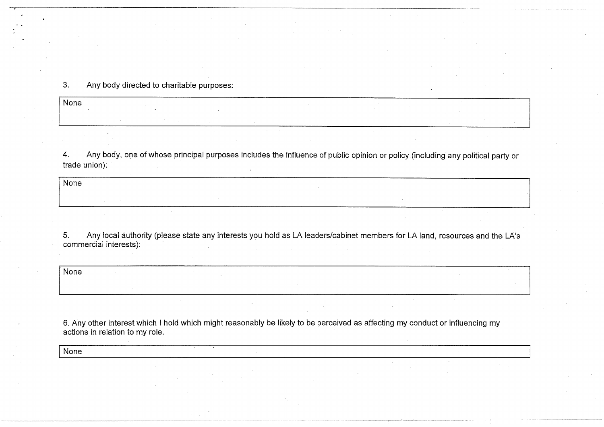### $3.$ Any body directed to charitable purposes:

 $\overline{\mathsf{None}}$ 

 $\overline{4}$ . Any body, one of whose principal purposes includes the influence of public opinion or policy (including any political party or trade union):

 $\overline{\mathsf{None}}$ 

 $5<sub>1</sub>$ Any local authority (please state any interests you hold as LA leaders/cabinet members for LA land, resources and the LA's commercial interests):

None

6. Any other interest which I hold which might reasonably be likely to be perceived as affecting my conduct or influencing my actions in relation to my role.

**None**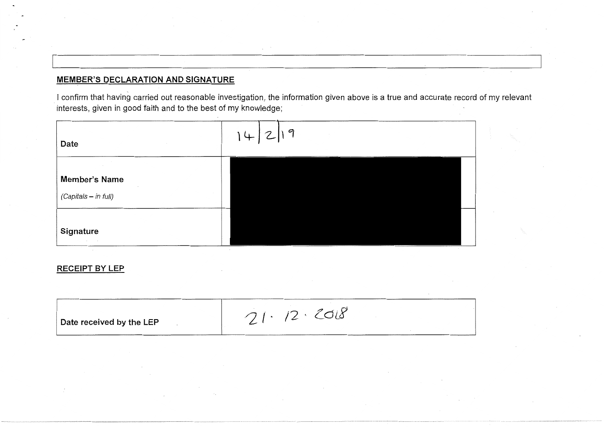## **MEMBER'S DECLARATION AND SIGNATURE**

I confirm that having carried out reasonable investigation, the information given above is a true and accurate record of my relevant interests, given in good faith and to the best of my knowledge;



### **RECEIPT BY LEP**

|--|